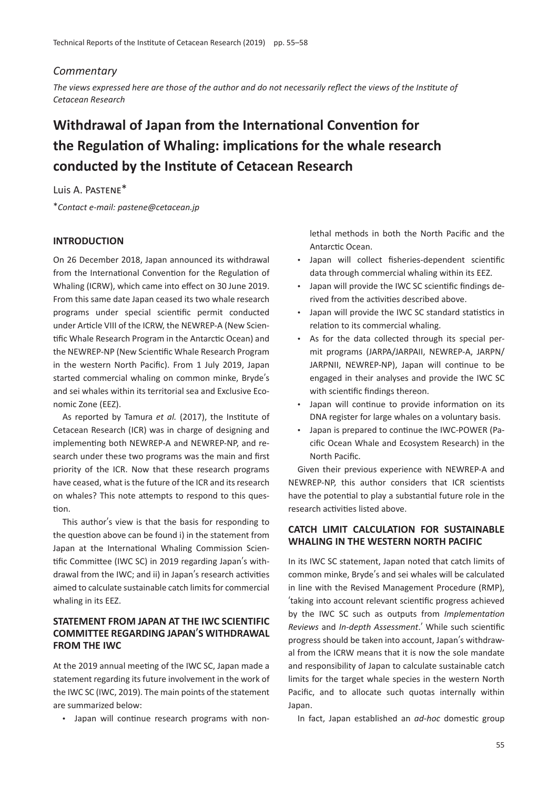## *Commentary*

*The views expressed here are those of the author and do not necessarily reflect the views of the Institute of Cetacean Research*

# **Withdrawal of Japan from the International Convention for the Regulation of Whaling: implications for the whale research conducted by the Institute of Cetacean Research**

### Luis A. Pastene\*

\**Contact e-mail: pastene@cetacean.jp*

#### **INTRODUCTION**

On 26 December 2018, Japan announced its withdrawal from the International Convention for the Regulation of Whaling (ICRW), which came into effect on 30 June 2019. From this same date Japan ceased its two whale research programs under special scientific permit conducted under Article VIII of the ICRW, the NEWREP-A (New Scientific Whale Research Program in the Antarctic Ocean) and the NEWREP-NP (New Scientific Whale Research Program in the western North Pacific). From 1 July 2019, Japan started commercial whaling on common minke, Bryde's and sei whales within its territorial sea and Exclusive Economic Zone (EEZ).

As reported by Tamura *et al.* (2017), the Institute of Cetacean Research (ICR) was in charge of designing and implementing both NEWREP-A and NEWREP-NP, and research under these two programs was the main and first priority of the ICR. Now that these research programs have ceased, what is the future of the ICR and its research on whales? This note attempts to respond to this question.

This author's view is that the basis for responding to the question above can be found i) in the statement from Japan at the International Whaling Commission Scientific Committee (IWC SC) in 2019 regarding Japan's withdrawal from the IWC; and ii) in Japan's research activities aimed to calculate sustainable catch limits for commercial whaling in its EEZ.

## **STATEMENT FROM JAPAN AT THE IWC SCIENTIFIC COMMITTEE REGARDING JAPAN**'**S WITHDRAWAL FROM THE IWC**

At the 2019 annual meeting of the IWC SC, Japan made a statement regarding its future involvement in the work of the IWC SC (IWC, 2019). The main points of the statement are summarized below:

• Japan will continue research programs with non-

lethal methods in both the North Pacific and the Antarctic Ocean.

- Japan will collect fisheries-dependent scientific data through commercial whaling within its EEZ.
- Japan will provide the IWC SC scientific findings derived from the activities described above.
- Japan will provide the IWC SC standard statistics in relation to its commercial whaling.
- As for the data collected through its special permit programs (JARPA/JARPAII, NEWREP-A, JARPN/ JARPNII, NEWREP-NP), Japan will continue to be engaged in their analyses and provide the IWC SC with scientific findings thereon.
- Japan will continue to provide information on its DNA register for large whales on a voluntary basis.
- Japan is prepared to continue the IWC-POWER (Pacific Ocean Whale and Ecosystem Research) in the North Pacific.

Given their previous experience with NEWREP-A and NEWREP-NP, this author considers that ICR scientists have the potential to play a substantial future role in the research activities listed above.

## **CATCH LIMIT CALCULATION FOR SUSTAINABLE WHALING IN THE WESTERN NORTH PACIFIC**

In its IWC SC statement, Japan noted that catch limits of common minke, Bryde's and sei whales will be calculated in line with the Revised Management Procedure (RMP), ʻtaking into account relevant scientific progress achieved by the IWC SC such as outputs from *Implementation Reviews* and *In-depth Assessment*.' While such scientific progress should be taken into account, Japan's withdrawal from the ICRW means that it is now the sole mandate and responsibility of Japan to calculate sustainable catch limits for the target whale species in the western North Pacific, and to allocate such quotas internally within Japan.

In fact, Japan established an *ad-hoc* domestic group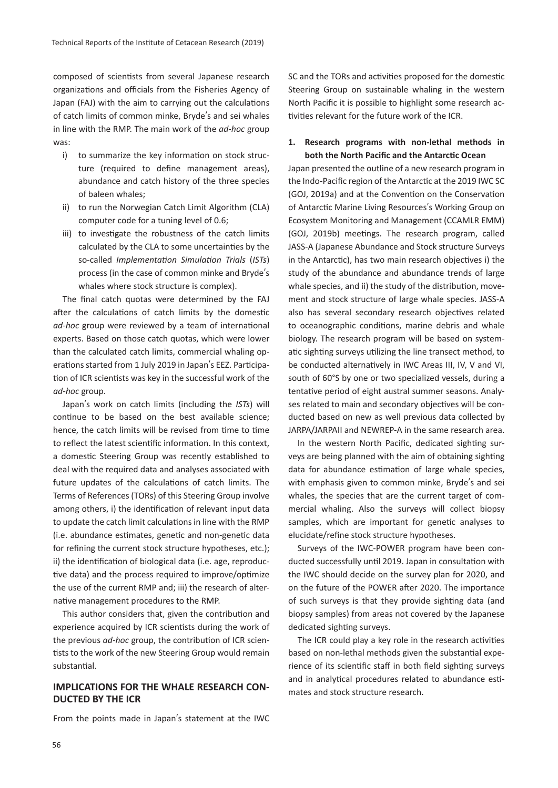composed of scientists from several Japanese research organizations and officials from the Fisheries Agency of Japan (FAJ) with the aim to carrying out the calculations of catch limits of common minke, Bryde's and sei whales in line with the RMP. The main work of the *ad-hoc* group was:

- i) to summarize the key information on stock structure (required to define management areas), abundance and catch history of the three species of baleen whales;
- ii) to run the Norwegian Catch Limit Algorithm (CLA) computer code for a tuning level of 0.6;
- iii) to investigate the robustness of the catch limits calculated by the CLA to some uncertainties by the so-called *Implementation Simulation Trials* (*ISTs*) process (in the case of common minke and Bryde's whales where stock structure is complex).

The final catch quotas were determined by the FAJ after the calculations of catch limits by the domestic *ad-hoc* group were reviewed by a team of international experts. Based on those catch quotas, which were lower than the calculated catch limits, commercial whaling operations started from 1 July 2019 in Japan's EEZ. Participation of ICR scientists was key in the successful work of the *ad-hoc* group.

Japan's work on catch limits (including the *ISTs*) will continue to be based on the best available science; hence, the catch limits will be revised from time to time to reflect the latest scientific information. In this context, a domestic Steering Group was recently established to deal with the required data and analyses associated with future updates of the calculations of catch limits. The Terms of References (TORs) of this Steering Group involve among others, i) the identification of relevant input data to update the catch limit calculations in line with the RMP (i.e. abundance estimates, genetic and non-genetic data for refining the current stock structure hypotheses, etc.); ii) the identification of biological data (i.e. age, reproductive data) and the process required to improve/optimize the use of the current RMP and; iii) the research of alternative management procedures to the RMP.

This author considers that, given the contribution and experience acquired by ICR scientists during the work of the previous *ad-hoc* group, the contribution of ICR scientists to the work of the new Steering Group would remain substantial.

#### **IMPLICATIONS FOR THE WHALE RESEARCH CON-DUCTED BY THE ICR**

From the points made in Japan's statement at the IWC

SC and the TORs and activities proposed for the domestic Steering Group on sustainable whaling in the western North Pacific it is possible to highlight some research activities relevant for the future work of the ICR.

#### **1. Research programs with non-lethal methods in both the North Pacific and the Antarctic Ocean**

Japan presented the outline of a new research program in the Indo-Pacific region of the Antarctic at the 2019 IWC SC (GOJ, 2019a) and at the Convention on the Conservation of Antarctic Marine Living Resources's Working Group on Ecosystem Monitoring and Management (CCAMLR EMM) (GOJ, 2019b) meetings. The research program, called JASS-A (Japanese Abundance and Stock structure Surveys in the Antarctic), has two main research objectives i) the study of the abundance and abundance trends of large whale species, and ii) the study of the distribution, movement and stock structure of large whale species. JASS-A also has several secondary research objectives related to oceanographic conditions, marine debris and whale biology. The research program will be based on systematic sighting surveys utilizing the line transect method, to be conducted alternatively in IWC Areas III, IV, V and VI, south of 60°S by one or two specialized vessels, during a tentative period of eight austral summer seasons. Analyses related to main and secondary objectives will be conducted based on new as well previous data collected by JARPA/JARPAII and NEWREP-A in the same research area.

In the western North Pacific, dedicated sighting surveys are being planned with the aim of obtaining sighting data for abundance estimation of large whale species, with emphasis given to common minke, Bryde's and sei whales, the species that are the current target of commercial whaling. Also the surveys will collect biopsy samples, which are important for genetic analyses to elucidate/refine stock structure hypotheses.

Surveys of the IWC-POWER program have been conducted successfully until 2019. Japan in consultation with the IWC should decide on the survey plan for 2020, and on the future of the POWER after 2020. The importance of such surveys is that they provide sighting data (and biopsy samples) from areas not covered by the Japanese dedicated sighting surveys.

The ICR could play a key role in the research activities based on non-lethal methods given the substantial experience of its scientific staff in both field sighting surveys and in analytical procedures related to abundance estimates and stock structure research.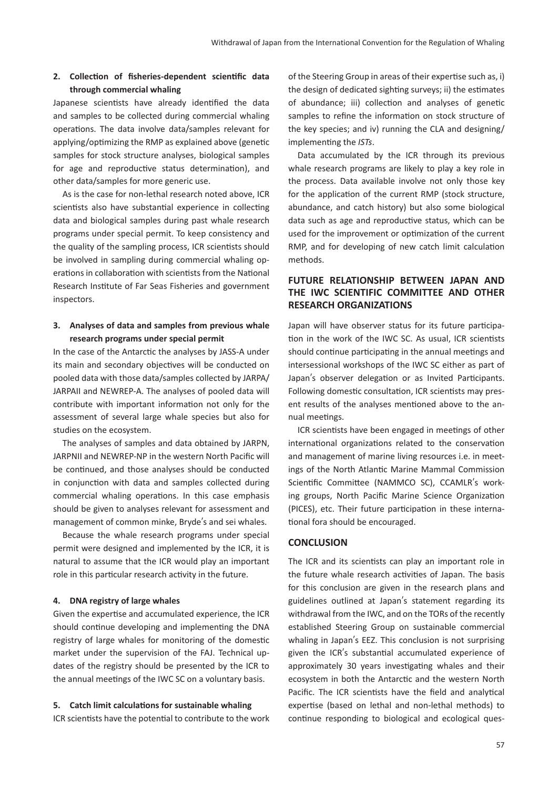## **2. Collection of fisheries-dependent scientific data through commercial whaling**

Japanese scientists have already identified the data and samples to be collected during commercial whaling operations. The data involve data/samples relevant for applying/optimizing the RMP as explained above (genetic samples for stock structure analyses, biological samples for age and reproductive status determination), and other data/samples for more generic use.

As is the case for non-lethal research noted above, ICR scientists also have substantial experience in collecting data and biological samples during past whale research programs under special permit. To keep consistency and the quality of the sampling process, ICR scientists should be involved in sampling during commercial whaling operations in collaboration with scientists from the National Research Institute of Far Seas Fisheries and government inspectors.

## **3. Analyses of data and samples from previous whale research programs under special permit**

In the case of the Antarctic the analyses by JASS-A under its main and secondary objectives will be conducted on pooled data with those data/samples collected by JARPA/ JARPAII and NEWREP-A. The analyses of pooled data will contribute with important information not only for the assessment of several large whale species but also for studies on the ecosystem.

The analyses of samples and data obtained by JARPN, JARPNII and NEWREP-NP in the western North Pacific will be continued, and those analyses should be conducted in conjunction with data and samples collected during commercial whaling operations. In this case emphasis should be given to analyses relevant for assessment and management of common minke, Bryde's and sei whales.

Because the whale research programs under special permit were designed and implemented by the ICR, it is natural to assume that the ICR would play an important role in this particular research activity in the future.

#### **4. DNA registry of large whales**

Given the expertise and accumulated experience, the ICR should continue developing and implementing the DNA registry of large whales for monitoring of the domestic market under the supervision of the FAJ. Technical updates of the registry should be presented by the ICR to the annual meetings of the IWC SC on a voluntary basis.

#### **5. Catch limit calculations for sustainable whaling**

ICR scientists have the potential to contribute to the work

of the Steering Group in areas of their expertise such as, i) the design of dedicated sighting surveys; ii) the estimates of abundance; iii) collection and analyses of genetic samples to refine the information on stock structure of the key species; and iv) running the CLA and designing/ implementing the *ISTs*.

Data accumulated by the ICR through its previous whale research programs are likely to play a key role in the process. Data available involve not only those key for the application of the current RMP (stock structure, abundance, and catch history) but also some biological data such as age and reproductive status, which can be used for the improvement or optimization of the current RMP, and for developing of new catch limit calculation methods.

## **FUTURE RELATIONSHIP BETWEEN JAPAN AND THE IWC SCIENTIFIC COMMITTEE AND OTHER RESEARCH ORGANIZATIONS**

Japan will have observer status for its future participation in the work of the IWC SC. As usual, ICR scientists should continue participating in the annual meetings and intersessional workshops of the IWC SC either as part of Japan's observer delegation or as Invited Participants. Following domestic consultation, ICR scientists may present results of the analyses mentioned above to the annual meetings.

ICR scientists have been engaged in meetings of other international organizations related to the conservation and management of marine living resources i.e. in meetings of the North Atlantic Marine Mammal Commission Scientific Committee (NAMMCO SC), CCAMLR's working groups, North Pacific Marine Science Organization (PICES), etc. Their future participation in these international fora should be encouraged.

#### **CONCLUSION**

The ICR and its scientists can play an important role in the future whale research activities of Japan. The basis for this conclusion are given in the research plans and guidelines outlined at Japan's statement regarding its withdrawal from the IWC, and on the TORs of the recently established Steering Group on sustainable commercial whaling in Japan's EEZ. This conclusion is not surprising given the ICR's substantial accumulated experience of approximately 30 years investigating whales and their ecosystem in both the Antarctic and the western North Pacific. The ICR scientists have the field and analytical expertise (based on lethal and non-lethal methods) to continue responding to biological and ecological ques